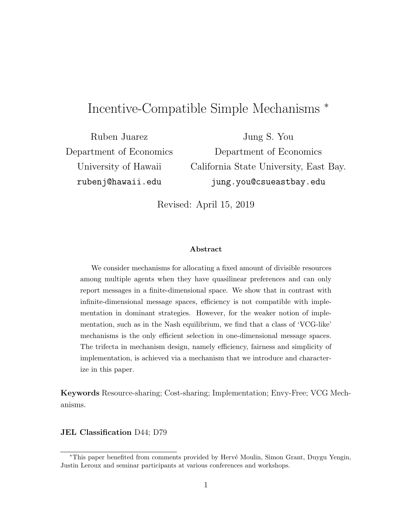# Incentive-Compatible Simple Mechanisms <sup>∗</sup>

Ruben Juarez Department of Economics University of Hawaii rubenj@hawaii.edu

Jung S. You Department of Economics California State University, East Bay. jung.you@csueastbay.edu

Revised: April 15, 2019

#### Abstract

We consider mechanisms for allocating a fixed amount of divisible resources among multiple agents when they have quasilinear preferences and can only report messages in a finite-dimensional space. We show that in contrast with infinite-dimensional message spaces, efficiency is not compatible with implementation in dominant strategies. However, for the weaker notion of implementation, such as in the Nash equilibrium, we find that a class of 'VCG-like' mechanisms is the only efficient selection in one-dimensional message spaces. The trifecta in mechanism design, namely efficiency, fairness and simplicity of implementation, is achieved via a mechanism that we introduce and characterize in this paper.

Keywords Resource-sharing; Cost-sharing; Implementation; Envy-Free; VCG Mechanisms.

JEL Classification D44; D79

<sup>∗</sup>This paper benefited from comments provided by Herv´e Moulin, Simon Grant, Duygu Yengin, Justin Leroux and seminar participants at various conferences and workshops.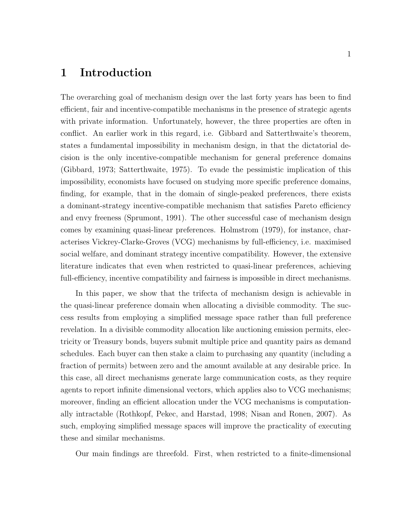## 1 Introduction

The overarching goal of mechanism design over the last forty years has been to find efficient, fair and incentive-compatible mechanisms in the presence of strategic agents with private information. Unfortunately, however, the three properties are often in conflict. An earlier work in this regard, i.e. Gibbard and Satterthwaite's theorem, states a fundamental impossibility in mechanism design, in that the dictatorial decision is the only incentive-compatible mechanism for general preference domains (Gibbard, 1973; Satterthwaite, 1975). To evade the pessimistic implication of this impossibility, economists have focused on studying more specific preference domains, finding, for example, that in the domain of single-peaked preferences, there exists a dominant-strategy incentive-compatible mechanism that satisfies Pareto efficiency and envy freeness (Sprumont, 1991). The other successful case of mechanism design comes by examining quasi-linear preferences. Holmstrom (1979), for instance, characterises Vickrey-Clarke-Groves (VCG) mechanisms by full-efficiency, i.e. maximised social welfare, and dominant strategy incentive compatibility. However, the extensive literature indicates that even when restricted to quasi-linear preferences, achieving full-efficiency, incentive compatibility and fairness is impossible in direct mechanisms.

In this paper, we show that the trifecta of mechanism design is achievable in the quasi-linear preference domain when allocating a divisible commodity. The success results from employing a simplified message space rather than full preference revelation. In a divisible commodity allocation like auctioning emission permits, electricity or Treasury bonds, buyers submit multiple price and quantity pairs as demand schedules. Each buyer can then stake a claim to purchasing any quantity (including a fraction of permits) between zero and the amount available at any desirable price. In this case, all direct mechanisms generate large communication costs, as they require agents to report infinite dimensional vectors, which applies also to VCG mechanisms; moreover, finding an efficient allocation under the VCG mechanisms is computationally intractable (Rothkopf, Pekec, and Harstad, 1998; Nisan and Ronen, 2007). As such, employing simplified message spaces will improve the practicality of executing these and similar mechanisms.

Our main findings are threefold. First, when restricted to a finite-dimensional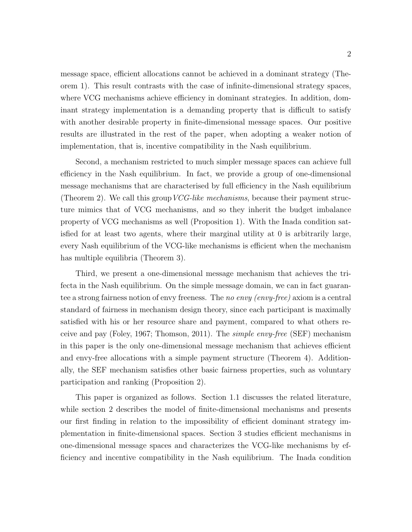message space, efficient allocations cannot be achieved in a dominant strategy (Theorem 1). This result contrasts with the case of infinite-dimensional strategy spaces, where VCG mechanisms achieve efficiency in dominant strategies. In addition, dominant strategy implementation is a demanding property that is difficult to satisfy with another desirable property in finite-dimensional message spaces. Our positive results are illustrated in the rest of the paper, when adopting a weaker notion of implementation, that is, incentive compatibility in the Nash equilibrium.

Second, a mechanism restricted to much simpler message spaces can achieve full efficiency in the Nash equilibrium. In fact, we provide a group of one-dimensional message mechanisms that are characterised by full efficiency in the Nash equilibrium (Theorem 2). We call this group  $VCG-like$  mechanisms, because their payment structure mimics that of VCG mechanisms, and so they inherit the budget imbalance property of VCG mechanisms as well (Proposition 1). With the Inada condition satisfied for at least two agents, where their marginal utility at 0 is arbitrarily large, every Nash equilibrium of the VCG-like mechanisms is efficient when the mechanism has multiple equilibria (Theorem 3).

Third, we present a one-dimensional message mechanism that achieves the trifecta in the Nash equilibrium. On the simple message domain, we can in fact guarantee a strong fairness notion of envy freeness. The no envy (envy-free) axiom is a central standard of fairness in mechanism design theory, since each participant is maximally satisfied with his or her resource share and payment, compared to what others receive and pay (Foley, 1967; Thomson, 2011). The simple envy-free (SEF) mechanism in this paper is the only one-dimensional message mechanism that achieves efficient and envy-free allocations with a simple payment structure (Theorem 4). Additionally, the SEF mechanism satisfies other basic fairness properties, such as voluntary participation and ranking (Proposition 2).

This paper is organized as follows. Section 1.1 discusses the related literature, while section 2 describes the model of finite-dimensional mechanisms and presents our first finding in relation to the impossibility of efficient dominant strategy implementation in finite-dimensional spaces. Section 3 studies efficient mechanisms in one-dimensional message spaces and characterizes the VCG-like mechanisms by efficiency and incentive compatibility in the Nash equilibrium. The Inada condition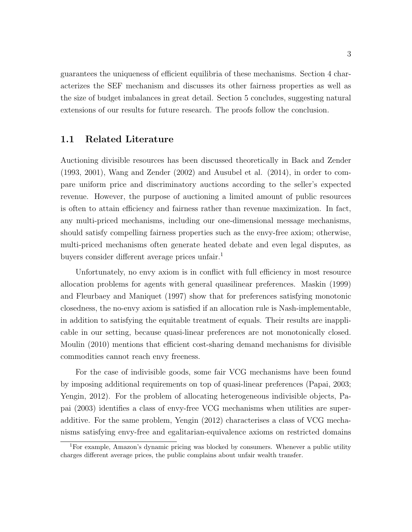guarantees the uniqueness of efficient equilibria of these mechanisms. Section 4 characterizes the SEF mechanism and discusses its other fairness properties as well as the size of budget imbalances in great detail. Section 5 concludes, suggesting natural extensions of our results for future research. The proofs follow the conclusion.

#### 1.1 Related Literature

Auctioning divisible resources has been discussed theoretically in Back and Zender (1993, 2001), Wang and Zender (2002) and Ausubel et al. (2014), in order to compare uniform price and discriminatory auctions according to the seller's expected revenue. However, the purpose of auctioning a limited amount of public resources is often to attain efficiency and fairness rather than revenue maximization. In fact, any multi-priced mechanisms, including our one-dimensional message mechanisms, should satisfy compelling fairness properties such as the envy-free axiom; otherwise, multi-priced mechanisms often generate heated debate and even legal disputes, as buyers consider different average prices unfair.<sup>1</sup>

Unfortunately, no envy axiom is in conflict with full efficiency in most resource allocation problems for agents with general quasilinear preferences. Maskin (1999) and Fleurbaey and Maniquet (1997) show that for preferences satisfying monotonic closedness, the no-envy axiom is satisfied if an allocation rule is Nash-implementable, in addition to satisfying the equitable treatment of equals. Their results are inapplicable in our setting, because quasi-linear preferences are not monotonically closed. Moulin (2010) mentions that efficient cost-sharing demand mechanisms for divisible commodities cannot reach envy freeness.

For the case of indivisible goods, some fair VCG mechanisms have been found by imposing additional requirements on top of quasi-linear preferences (Papai, 2003; Yengin, 2012). For the problem of allocating heterogeneous indivisible objects, Papai (2003) identifies a class of envy-free VCG mechanisms when utilities are superadditive. For the same problem, Yengin (2012) characterises a class of VCG mechanisms satisfying envy-free and egalitarian-equivalence axioms on restricted domains

<sup>1</sup>For example, Amazon's dynamic pricing was blocked by consumers. Whenever a public utility charges different average prices, the public complains about unfair wealth transfer.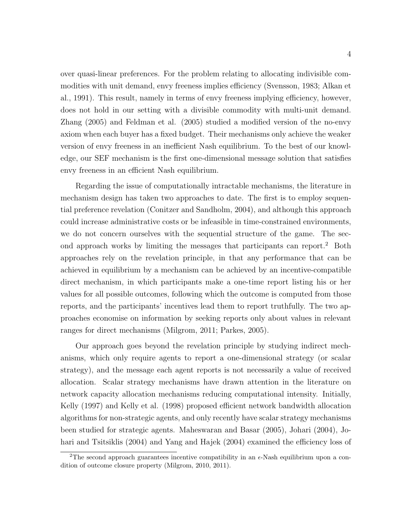over quasi-linear preferences. For the problem relating to allocating indivisible commodities with unit demand, envy freeness implies efficiency (Svensson, 1983; Alkan et al., 1991). This result, namely in terms of envy freeness implying efficiency, however, does not hold in our setting with a divisible commodity with multi-unit demand. Zhang (2005) and Feldman et al. (2005) studied a modified version of the no-envy axiom when each buyer has a fixed budget. Their mechanisms only achieve the weaker version of envy freeness in an inefficient Nash equilibrium. To the best of our knowledge, our SEF mechanism is the first one-dimensional message solution that satisfies envy freeness in an efficient Nash equilibrium.

Regarding the issue of computationally intractable mechanisms, the literature in mechanism design has taken two approaches to date. The first is to employ sequential preference revelation (Conitzer and Sandholm, 2004), and although this approach could increase administrative costs or be infeasible in time-constrained environments, we do not concern ourselves with the sequential structure of the game. The second approach works by limiting the messages that participants can report.<sup>2</sup> Both approaches rely on the revelation principle, in that any performance that can be achieved in equilibrium by a mechanism can be achieved by an incentive-compatible direct mechanism, in which participants make a one-time report listing his or her values for all possible outcomes, following which the outcome is computed from those reports, and the participants' incentives lead them to report truthfully. The two approaches economise on information by seeking reports only about values in relevant ranges for direct mechanisms (Milgrom, 2011; Parkes, 2005).

Our approach goes beyond the revelation principle by studying indirect mechanisms, which only require agents to report a one-dimensional strategy (or scalar strategy), and the message each agent reports is not necessarily a value of received allocation. Scalar strategy mechanisms have drawn attention in the literature on network capacity allocation mechanisms reducing computational intensity. Initially, Kelly (1997) and Kelly et al. (1998) proposed efficient network bandwidth allocation algorithms for non-strategic agents, and only recently have scalar strategy mechanisms been studied for strategic agents. Maheswaran and Basar (2005), Johari (2004), Johari and Tsitsiklis (2004) and Yang and Hajek (2004) examined the efficiency loss of

<sup>&</sup>lt;sup>2</sup>The second approach guarantees incentive compatibility in an  $\epsilon$ -Nash equilibrium upon a condition of outcome closure property (Milgrom, 2010, 2011).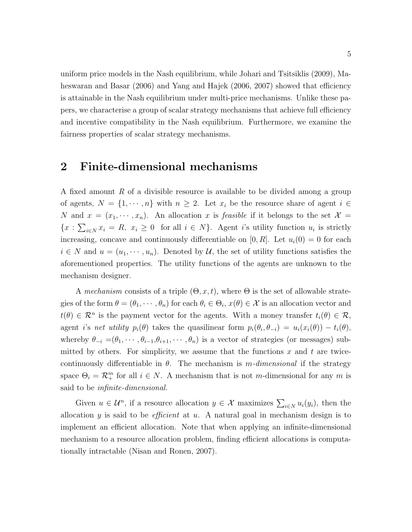uniform price models in the Nash equilibrium, while Johari and Tsitsiklis (2009), Maheswaran and Basar (2006) and Yang and Hajek (2006, 2007) showed that efficiency is attainable in the Nash equilibrium under multi-price mechanisms. Unlike these papers, we characterise a group of scalar strategy mechanisms that achieve full efficiency and incentive compatibility in the Nash equilibrium. Furthermore, we examine the fairness properties of scalar strategy mechanisms.

## 2 Finite-dimensional mechanisms

A fixed amount R of a divisible resource is available to be divided among a group of agents,  $N = \{1, \dots, n\}$  with  $n \geq 2$ . Let  $x_i$  be the resource share of agent  $i \in$ N and  $x = (x_1, \dots, x_n)$ . An allocation x is feasible if it belongs to the set  $\mathcal{X} =$  $\{x : \sum_{i \in N} x_i = R, x_i \geq 0 \text{ for all } i \in N\}.$  Agent i's utility function  $u_i$  is strictly increasing, concave and continuously differentiable on [0, R]. Let  $u_i(0) = 0$  for each  $i \in N$  and  $u = (u_1, \dots, u_n)$ . Denoted by U, the set of utility functions satisfies the aforementioned properties. The utility functions of the agents are unknown to the mechanism designer.

A mechanism consists of a triple  $(\Theta, x, t)$ , where  $\Theta$  is the set of allowable strategies of the form  $\theta = (\theta_1, \dots, \theta_n)$  for each  $\theta_i \in \Theta_i$ ,  $x(\theta) \in \mathcal{X}$  is an allocation vector and  $t(\theta) \in \mathcal{R}^n$  is the payment vector for the agents. With a money transfer  $t_i(\theta) \in \mathcal{R}$ , agent i's net utility  $p_i(\theta)$  takes the quasilinear form  $p_i(\theta_i, \theta_{-i}) = u_i(x_i(\theta)) - t_i(\theta)$ , whereby  $\theta_{-i} = (\theta_1, \cdots, \theta_{i-1}, \theta_{i+1}, \cdots, \theta_n)$  is a vector of strategies (or messages) submitted by others. For simplicity, we assume that the functions  $x$  and  $t$  are twicecontinuously differentiable in  $\theta$ . The mechanism is m-dimensional if the strategy space  $\Theta_i = \mathcal{R}_+^m$  for all  $i \in N$ . A mechanism that is not m-dimensional for any m is said to be infinite-dimensional.

Given  $u \in \mathcal{U}^n$ , if a resource allocation  $y \in \mathcal{X}$  maximizes  $\sum_{i \in N} u_i(y_i)$ , then the allocation  $y$  is said to be *efficient* at  $u$ . A natural goal in mechanism design is to implement an efficient allocation. Note that when applying an infinite-dimensional mechanism to a resource allocation problem, finding efficient allocations is computationally intractable (Nisan and Ronen, 2007).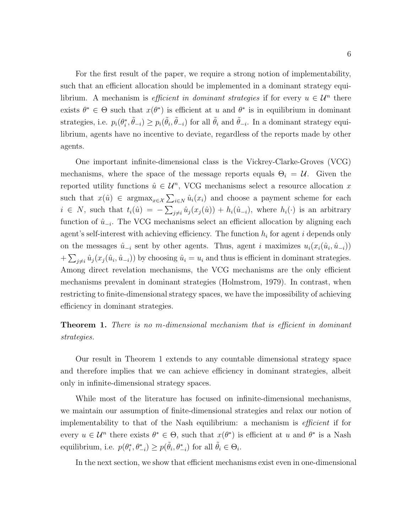For the first result of the paper, we require a strong notion of implementability, such that an efficient allocation should be implemented in a dominant strategy equilibrium. A mechanism is *efficient in dominant strategies* if for every  $u \in \mathcal{U}^n$  there exists  $\theta^* \in \Theta$  such that  $x(\theta^*)$  is efficient at u and  $\theta^*$  is in equilibrium in dominant strategies, i.e.  $p_i(\theta_i^*, \tilde{\theta}_{-i}) \ge p_i(\tilde{\theta}_i, \tilde{\theta}_{-i})$  for all  $\tilde{\theta}_i$  and  $\tilde{\theta}_{-i}$ . In a dominant strategy equilibrium, agents have no incentive to deviate, regardless of the reports made by other agents.

One important infinite-dimensional class is the Vickrey-Clarke-Groves (VCG) mechanisms, where the space of the message reports equals  $\Theta_i = \mathcal{U}$ . Given the reported utility functions  $\hat{u} \in \mathcal{U}^n$ , VCG mechanisms select a resource allocation x such that  $x(\hat{u}) \in \text{argmax}_{x \in \mathcal{X}} \sum_{i \in \mathcal{N}} \hat{u}_i(x_i)$  and choose a payment scheme for each  $i \in N$ , such that  $t_i(\hat{u}) = -\sum_{j \neq i} \hat{u}_j(x_j(\hat{u})) + h_i(\hat{u}_{-i})$ , where  $h_i(\cdot)$  is an arbitrary function of  $\hat{u}_{-i}$ . The VCG mechanisms select an efficient allocation by aligning each agent's self-interest with achieving efficiency. The function  $h_i$  for agent i depends only on the messages  $\hat{u}_{-i}$  sent by other agents. Thus, agent i maximizes  $u_i(x_i(\hat{u}_i, \hat{u}_{-i}))$  $+\sum_{j\neq i}\hat{u}_j(x_j(\hat{u}_i,\hat{u}_{-i}))$  by choosing  $\hat{u}_i=u_i$  and thus is efficient in dominant strategies. Among direct revelation mechanisms, the VCG mechanisms are the only efficient mechanisms prevalent in dominant strategies (Holmstrom, 1979). In contrast, when restricting to finite-dimensional strategy spaces, we have the impossibility of achieving efficiency in dominant strategies.

**Theorem 1.** There is no m-dimensional mechanism that is efficient in dominant strategies.

Our result in Theorem 1 extends to any countable dimensional strategy space and therefore implies that we can achieve efficiency in dominant strategies, albeit only in infinite-dimensional strategy spaces.

While most of the literature has focused on infinite-dimensional mechanisms, we maintain our assumption of finite-dimensional strategies and relax our notion of implementability to that of the Nash equilibrium: a mechanism is efficient if for every  $u \in \mathcal{U}^n$  there exists  $\theta^* \in \Theta$ , such that  $x(\theta^*)$  is efficient at u and  $\theta^*$  is a Nash equilibrium, i.e.  $p(\theta_i^*, \theta_{-i}^*) \ge p(\tilde{\theta}_i, \theta_{-i}^*)$  for all  $\tilde{\theta}_i \in \Theta_i$ .

In the next section, we show that efficient mechanisms exist even in one-dimensional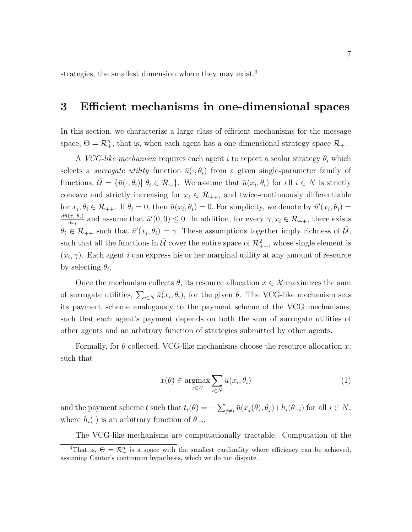strategies, the smallest dimension where they may exist.<sup>3</sup>

## 3 Efficient mechanisms in one-dimensional spaces

In this section, we characterize a large class of efficient mechanisms for the message space,  $\Theta = \mathcal{R}_{+}^n$ , that is, when each agent has a one-dimensional strategy space  $\mathcal{R}_+$ .

A *VCG-like mechanism* requires each agent i to report a scalar strategy  $\theta_i$  which selects a *surrogate utility* function  $\bar{u}(\cdot, \theta_i)$  from a given single-parameter family of functions,  $\bar{\mathcal{U}} = {\bar{u}(\cdot, \theta_i) | \theta_i \in \mathcal{R}_+}.$  We assume that  $\bar{u}(x_i, \theta_i)$  for all  $i \in N$  is strictly concave and strictly increasing for  $x_i \in \mathcal{R}_{++}$ , and twice-continuously differentiable for  $x_i, \theta_i \in \mathcal{R}_{++}$ . If  $\theta_i = 0$ , then  $\bar{u}(x_i, \theta_i) = 0$ . For simplicity, we denote by  $\bar{u}'(x_i, \theta_i) =$  $d\bar{u}(x_i,\theta_i)$  $\frac{(x_i,\theta_i)}{dx_i}$  and assume that  $\bar{u}'(0,0) \leq 0$ . In addition, for every  $\gamma, x_i \in \mathcal{R}_{++}$ , there exists  $\theta_i \in \mathcal{R}_{++}$  such that  $\bar{u}'(x_i, \theta_i) = \gamma$ . These assumptions together imply richness of  $\bar{\mathcal{U}}$ , such that all the functions in  $\bar{\mathcal{U}}$  cover the entire space of  $\mathcal{R}_{++}^2$ , whose single element is  $(x_i, \gamma)$ . Each agent i can express his or her marginal utility at any amount of resource by selecting  $\theta_i$ .

Once the mechanism collects  $\theta$ , its resource allocation  $x \in \mathcal{X}$  maximizes the sum of surrogate utilities,  $\sum_{i\in N} \bar{u}(x_i,\theta_i)$ , for the given  $\theta$ . The VCG-like mechanism sets its payment scheme analogously to the payment scheme of the VCG mechanisms, such that each agent's payment depends on both the sum of surrogate utilities of other agents and an arbitrary function of strategies submitted by other agents.

Formally, for  $\theta$  collected, VCG-like mechanisms choose the resource allocation x, such that

$$
x(\theta) \in \underset{x \in \mathcal{X}}{\operatorname{argmax}} \sum_{i \in N} \bar{u}(x_i, \theta_i)
$$
 (1)

and the payment scheme t such that  $t_i(\theta) = -\sum_{j\neq i} \bar{u}(x_j(\theta), \theta_j) + h_i(\theta_{-i})$  for all  $i \in N$ , where  $h_i(\cdot)$  is an arbitrary function of  $\theta_{-i}$ .

The VCG-like mechanisms are computationally tractable. Computation of the <sup>3</sup>That is,  $\Theta = \mathcal{R}_{+}^{n}$  is a space with the smallest cardinality where efficiency can be achieved, assuming Cantor's continuum hypothesis, which we do not dispute.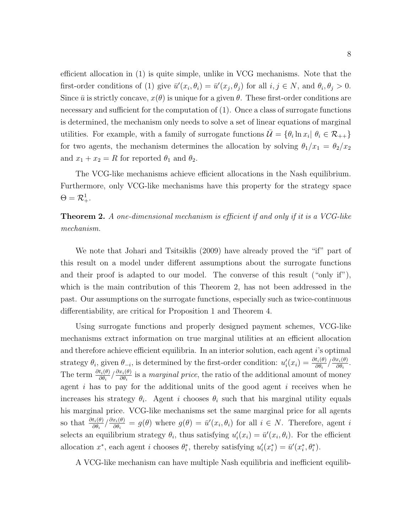efficient allocation in (1) is quite simple, unlike in VCG mechanisms. Note that the first-order conditions of (1) give  $\bar{u}'(x_i, \theta_i) = \bar{u}'(x_j, \theta_j)$  for all  $i, j \in N$ , and  $\theta_i, \theta_j > 0$ . Since  $\bar{u}$  is strictly concave,  $x(\theta)$  is unique for a given  $\theta$ . These first-order conditions are necessary and sufficient for the computation of (1). Once a class of surrogate functions is determined, the mechanism only needs to solve a set of linear equations of marginal utilities. For example, with a family of surrogate functions  $\bar{\mathcal{U}} = \{\theta_i \ln x_i | \theta_i \in \mathcal{R}_{++}\}\$ for two agents, the mechanism determines the allocation by solving  $\theta_1/x_1 = \theta_2/x_2$ and  $x_1 + x_2 = R$  for reported  $\theta_1$  and  $\theta_2$ .

The VCG-like mechanisms achieve efficient allocations in the Nash equilibrium. Furthermore, only VCG-like mechanisms have this property for the strategy space  $\Theta = \mathcal{R}^1_+.$ 

**Theorem 2.** A one-dimensional mechanism is efficient if and only if it is a VCG-like mechanism.

We note that Johari and Tsitsiklis (2009) have already proved the "if" part of this result on a model under different assumptions about the surrogate functions and their proof is adapted to our model. The converse of this result ("only if"), which is the main contribution of this Theorem 2, has not been addressed in the past. Our assumptions on the surrogate functions, especially such as twice-continuous differentiability, are critical for Proposition 1 and Theorem 4.

Using surrogate functions and properly designed payment schemes, VCG-like mechanisms extract information on true marginal utilities at an efficient allocation and therefore achieve efficient equilibria. In an interior solution, each agent i's optimal strategy  $\theta_i$ , given  $\theta_{-i}$ , is determined by the first-order condition:  $u'_i(x_i) = \frac{\partial t_i(\theta)}{\partial \theta_i} / \frac{\partial x_i(\theta)}{\partial \theta_i}$  $\frac{x_i(\theta)}{\partial \theta_i}$ . The term  $\frac{\partial t_i(\theta)}{\partial \theta_i} / \frac{\partial x_i(\theta)}{\partial \theta_i}$  $\frac{x_i(\theta)}{\partial \theta_i}$  is a *marginal price*, the ratio of the additional amount of money agent  $i$  has to pay for the additional units of the good agent  $i$  receives when he increases his strategy  $\theta_i$ . Agent i chooses  $\theta_i$  such that his marginal utility equals his marginal price. VCG-like mechanisms set the same marginal price for all agents so that  $\frac{\partial t_i(\theta)}{\partial \theta_i} / \frac{\partial x_i(\theta)}{\partial \theta_i}$  $\frac{x_i(\theta)}{\partial \theta_i} = g(\theta)$  where  $g(\theta) = \bar{u}'(x_i, \theta_i)$  for all  $i \in N$ . Therefore, agent i selects an equilibrium strategy  $\theta_i$ , thus satisfying  $u'_i(x_i) = \bar{u}'(x_i, \theta_i)$ . For the efficient allocation  $x^*$ , each agent *i* chooses  $\theta_i^*$ , thereby satisfying  $u'_i(x_i^*) = \bar{u}'(x_i^*, \theta_i^*)$ .

A VCG-like mechanism can have multiple Nash equilibria and inefficient equilib-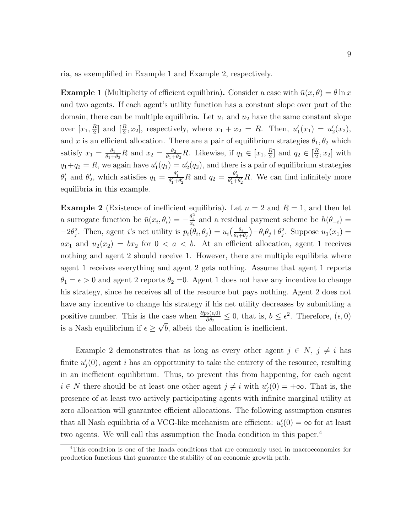ria, as exemplified in Example 1 and Example 2, respectively.

**Example 1** (Multiplicity of efficient equilibria). Consider a case with  $\bar{u}(x, \theta) = \theta \ln x$ and two agents. If each agent's utility function has a constant slope over part of the domain, there can be multiple equilibria. Let  $u_1$  and  $u_2$  have the same constant slope over  $[x_1, \frac{R}{2}]$  $\frac{R}{2}$  and  $[\frac{R}{2}, x_2]$ , respectively, where  $x_1 + x_2 = R$ . Then,  $u'_1(x_1) = u'_2(x_2)$ , and x is an efficient allocation. There are a pair of equilibrium strategies  $\theta_1, \theta_2$  which satisfy  $x_1 = \frac{\theta_1}{\theta_1 + \theta_2}$  $\frac{\theta_1}{\theta_1+\theta_2}R$  and  $x_2=\frac{\theta_2}{\theta_1+}$  $\frac{\theta_2}{\theta_1+\theta_2}R$ . Likewise, if  $q_1 \in [x_1, \frac{R}{2}]$  $\frac{R}{2}$  and  $q_2 \in \left[\frac{R}{2}\right]$  $\frac{R}{2}$ ,  $x_2$  with  $q_1+q_2 = R$ , we again have  $u'_1(q_1) = u'_2(q_2)$ , and there is a pair of equilibrium strategies  $\theta'_1$  and  $\theta'_2$ , which satisfies  $q_1 = \frac{\theta'_1}{\theta'_1 + \theta'_2} R$  and  $q_2 = \frac{\theta'_2}{\theta'_1 + \theta'_2} R$ . We can find infinitely more equilibria in this example.

**Example 2** (Existence of inefficient equilibria). Let  $n = 2$  and  $R = 1$ , and then let a surrogate function be  $\bar{u}(x_i, \theta_i) = -\frac{\theta_i^2}{x_i}$  and a residual payment scheme be  $h(\theta_{-i}) =$  $-2\theta_j^2$ . Then, agent *i*'s net utility is  $p_i(\theta_i, \theta_j) = u_i \left( \frac{\theta_i}{\theta_i + 1} \right)$  $\frac{\theta_i}{\theta_i+\theta_j}$  $-\theta_i\theta_j+\theta_j^2$ . Suppose  $u_1(x_1)$  =  $ax_1$  and  $u_2(x_2) = bx_2$  for  $0 < a < b$ . At an efficient allocation, agent 1 receives nothing and agent 2 should receive 1. However, there are multiple equilibria where agent 1 receives everything and agent 2 gets nothing. Assume that agent 1 reports  $\theta_1 = \epsilon > 0$  and agent 2 reports  $\theta_2 = 0$ . Agent 1 does not have any incentive to change his strategy, since he receives all of the resource but pays nothing. Agent 2 does not have any incentive to change his strategy if his net utility decreases by submitting a positive number. This is the case when  $\frac{\partial p_2(\epsilon,0)}{\partial \theta_2} \leq 0$ , that is,  $b \leq \epsilon^2$ . Therefore,  $(\epsilon, 0)$ is a Nash equilibrium if  $\epsilon \geq \sqrt{b}$ , albeit the allocation is inefficient.

Example 2 demonstrates that as long as every other agent  $j \in N$ ,  $j \neq i$  has finite  $u'_{j}(0)$ , agent *i* has an opportunity to take the entirety of the resource, resulting in an inefficient equilibrium. Thus, to prevent this from happening, for each agent  $i \in N$  there should be at least one other agent  $j \neq i$  with  $u'_{j}(0) = +\infty$ . That is, the presence of at least two actively participating agents with infinite marginal utility at zero allocation will guarantee efficient allocations. The following assumption ensures that all Nash equilibria of a VCG-like mechanism are efficient:  $u_i'(0) = \infty$  for at least two agents. We will call this assumption the Inada condition in this paper.<sup>4</sup>

<sup>4</sup>This condition is one of the Inada conditions that are commonly used in macroeconomics for production functions that guarantee the stability of an economic growth path.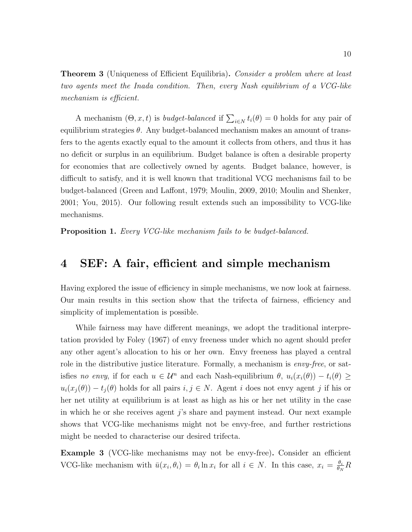**Theorem 3** (Uniqueness of Efficient Equilibria). Consider a problem where at least two agents meet the Inada condition. Then, every Nash equilibrium of a VCG-like mechanism is efficient.

A mechanism  $(\Theta, x, t)$  is *budget-balanced* if  $\sum_{i \in N} t_i(\theta) = 0$  holds for any pair of equilibrium strategies  $\theta$ . Any budget-balanced mechanism makes an amount of transfers to the agents exactly equal to the amount it collects from others, and thus it has no deficit or surplus in an equilibrium. Budget balance is often a desirable property for economies that are collectively owned by agents. Budget balance, however, is difficult to satisfy, and it is well known that traditional VCG mechanisms fail to be budget-balanced (Green and Laffont, 1979; Moulin, 2009, 2010; Moulin and Shenker, 2001; You, 2015). Our following result extends such an impossibility to VCG-like mechanisms.

**Proposition 1.** Every VCG-like mechanism fails to be budget-balanced.

### 4 SEF: A fair, efficient and simple mechanism

Having explored the issue of efficiency in simple mechanisms, we now look at fairness. Our main results in this section show that the trifecta of fairness, efficiency and simplicity of implementation is possible.

While fairness may have different meanings, we adopt the traditional interpretation provided by Foley (1967) of envy freeness under which no agent should prefer any other agent's allocation to his or her own. Envy freeness has played a central role in the distributive justice literature. Formally, a mechanism is *envy-free*, or satisfies no envy, if for each  $u \in \mathcal{U}^n$  and each Nash-equilibrium  $\theta$ ,  $u_i(x_i(\theta)) - t_i(\theta) \geq$  $u_i(x_j(\theta)) - t_j(\theta)$  holds for all pairs  $i, j \in N$ . Agent i does not envy agent j if his or her net utility at equilibrium is at least as high as his or her net utility in the case in which he or she receives agent j's share and payment instead. Our next example shows that VCG-like mechanisms might not be envy-free, and further restrictions might be needed to characterise our desired trifecta.

Example 3 (VCG-like mechanisms may not be envy-free). Consider an efficient VCG-like mechanism with  $\bar{u}(x_i, \theta_i) = \theta_i \ln x_i$  for all  $i \in N$ . In this case,  $x_i = \frac{\theta_i}{\theta_N}$  $\frac{\theta_i}{\theta_N}R$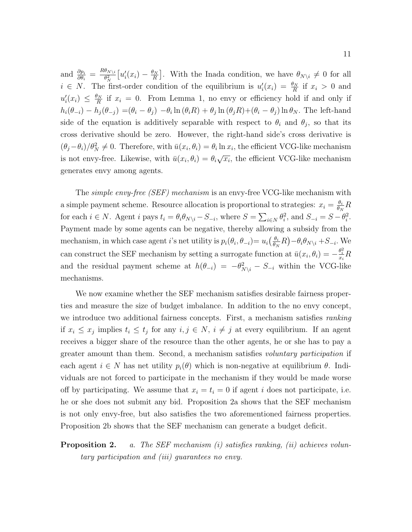and  $\frac{\partial p_i}{\partial \theta_i} = \frac{R\theta_{N\setminus i}}{\theta_N^2}$  $\frac{\theta_{N\setminus i}}{\theta_{N}^{2}}\big[u_{i}'(x_{i})-\frac{\theta_{N}}{R}% \big]_{x_{i}+x_{j}}\bigg\{ \frac{\theta_{N\setminus i}}{\theta_{N}}\big\} \label{eq:44}$  $\left[\frac{\partial_N}{\partial R}\right]$ . With the Inada condition, we have  $\theta_{N\setminus i}\neq 0$  for all  $i \in N$ . The first-order condition of the equilibrium is  $u'_i(x_i) = \frac{\theta_N}{R}$  if  $x_i > 0$  and  $u'_i(x_i) \leq \frac{\theta_N}{R}$  $\frac{d_N}{R}$  if  $x_i = 0$ . From Lemma 1, no envy or efficiency hold if and only if  $h_i(\theta_{-i}) - h_j(\theta_{-j}) = (\theta_i - \theta_j) - \theta_i \ln(\theta_i R) + \theta_j \ln(\theta_j R) + (\theta_i - \theta_j) \ln \theta_N$ . The left-hand side of the equation is additively separable with respect to  $\theta_i$  and  $\theta_j$ , so that its cross derivative should be zero. However, the right-hand side's cross derivative is  $(\theta_j - \theta_i)/\theta_N^2 \neq 0$ . Therefore, with  $\bar{u}(x_i, \theta_i) = \theta_i \ln x_i$ , the efficient VCG-like mechanism is not envy-free. Likewise, with  $\overline{u}(x_i, \theta_i) = \theta_i \sqrt{x_i}$ , the efficient VCG-like mechanism generates envy among agents.

The *simple envy-free (SEF) mechanism* is an envy-free VCG-like mechanism with a simple payment scheme. Resource allocation is proportional to strategies:  $x_i = \frac{\theta_i}{\theta_k}$  $\frac{\theta_i}{\theta_N}R$ for each  $i \in N$ . Agent i pays  $t_i = \theta_i \theta_{N \setminus i} - S_{-i}$ , where  $S = \sum_{i \in N} \theta_i^2$ , and  $S_{-i} = S - \theta_i^2$ . Payment made by some agents can be negative, thereby allowing a subsidy from the mechanism, in which case agent *i*'s net utility is  $p_i(\theta_i, \theta_{-i}) = u_i(\frac{\theta_i}{\theta_k})$  $\frac{\theta_i}{\theta_N}R$ ) –  $\theta_i\theta_{N\setminus i}$  +  $S_{-i}$ . We can construct the SEF mechanism by setting a surrogate function at  $\bar{u}(x_i, \theta_i) = -\frac{\theta_i^2}{x_i}R$ and the residual payment scheme at  $h(\theta_{-i}) = -\theta_{N\setminus i}^2 - S_{-i}$  within the VCG-like mechanisms.

We now examine whether the SEF mechanism satisfies desirable fairness properties and measure the size of budget imbalance. In addition to the no envy concept, we introduce two additional fairness concepts. First, a mechanism satisfies *ranking* if  $x_i \leq x_j$  implies  $t_i \leq t_j$  for any  $i, j \in N$ ,  $i \neq j$  at every equilibrium. If an agent receives a bigger share of the resource than the other agents, he or she has to pay a greater amount than them. Second, a mechanism satisfies voluntary participation if each agent  $i \in N$  has net utility  $p_i(\theta)$  which is non-negative at equilibrium  $\theta$ . Individuals are not forced to participate in the mechanism if they would be made worse off by participating. We assume that  $x_i = t_i = 0$  if agent i does not participate, i.e. he or she does not submit any bid. Proposition 2a shows that the SEF mechanism is not only envy-free, but also satisfies the two aforementioned fairness properties. Proposition 2b shows that the SEF mechanism can generate a budget deficit.

### **Proposition 2.** a. The SEF mechanism (i) satisfies ranking, (ii) achieves voluntary participation and (iii) guarantees no envy.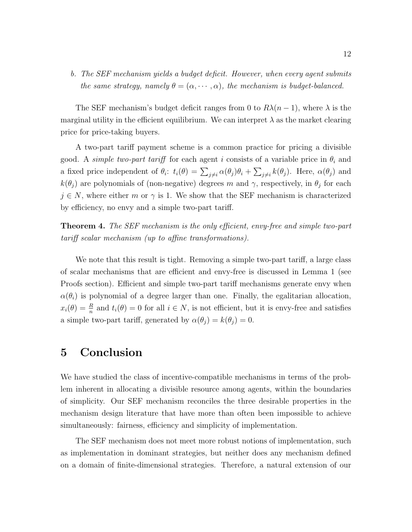### b. The SEF mechanism yields a budget deficit. However, when every agent submits the same strategy, namely  $\theta = (\alpha, \dots, \alpha)$ , the mechanism is budget-balanced.

The SEF mechanism's budget deficit ranges from 0 to  $R\lambda(n-1)$ , where  $\lambda$  is the marginal utility in the efficient equilibrium. We can interpret  $\lambda$  as the market clearing price for price-taking buyers.

A two-part tariff payment scheme is a common practice for pricing a divisible good. A simple two-part tariff for each agent i consists of a variable price in  $\theta_i$  and a fixed price independent of  $\theta_i$ :  $t_i(\theta) = \sum_{j\neq i} \alpha(\theta_j)\theta_i + \sum_{j\neq i} k(\theta_j)$ . Here,  $\alpha(\theta_j)$  and  $k(\theta_j)$  are polynomials of (non-negative) degrees m and  $\gamma$ , respectively, in  $\theta_j$  for each  $j \in N$ , where either m or  $\gamma$  is 1. We show that the SEF mechanism is characterized by efficiency, no envy and a simple two-part tariff.

**Theorem 4.** The SEF mechanism is the only efficient, envy-free and simple two-part tariff scalar mechanism (up to affine transformations).

We note that this result is tight. Removing a simple two-part tariff, a large class of scalar mechanisms that are efficient and envy-free is discussed in Lemma 1 (see Proofs section). Efficient and simple two-part tariff mechanisms generate envy when  $\alpha(\theta_i)$  is polynomial of a degree larger than one. Finally, the egalitarian allocation,  $x_i(\theta) = \frac{R}{n}$  and  $t_i(\theta) = 0$  for all  $i \in N$ , is not efficient, but it is envy-free and satisfies a simple two-part tariff, generated by  $\alpha(\theta_j) = k(\theta_j) = 0$ .

## 5 Conclusion

We have studied the class of incentive-compatible mechanisms in terms of the problem inherent in allocating a divisible resource among agents, within the boundaries of simplicity. Our SEF mechanism reconciles the three desirable properties in the mechanism design literature that have more than often been impossible to achieve simultaneously: fairness, efficiency and simplicity of implementation.

The SEF mechanism does not meet more robust notions of implementation, such as implementation in dominant strategies, but neither does any mechanism defined on a domain of finite-dimensional strategies. Therefore, a natural extension of our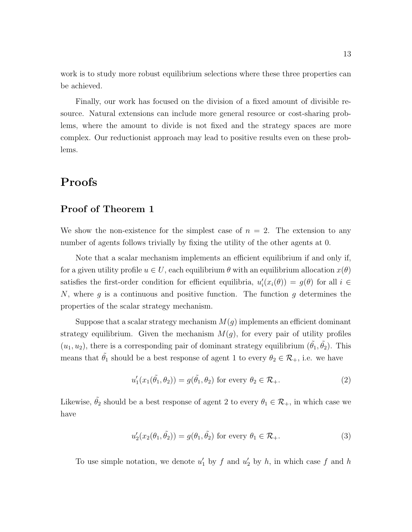work is to study more robust equilibrium selections where these three properties can be achieved.

Finally, our work has focused on the division of a fixed amount of divisible resource. Natural extensions can include more general resource or cost-sharing problems, where the amount to divide is not fixed and the strategy spaces are more complex. Our reductionist approach may lead to positive results even on these problems.

## Proofs

### Proof of Theorem 1

We show the non-existence for the simplest case of  $n = 2$ . The extension to any number of agents follows trivially by fixing the utility of the other agents at 0.

Note that a scalar mechanism implements an efficient equilibrium if and only if, for a given utility profile  $u \in U$ , each equilibrium  $\theta$  with an equilibrium allocation  $x(\theta)$ satisfies the first-order condition for efficient equilibria,  $u'_i(x_i(\theta)) = g(\theta)$  for all  $i \in$ N, where  $g$  is a continuous and positive function. The function  $g$  determines the properties of the scalar strategy mechanism.

Suppose that a scalar strategy mechanism  $M(g)$  implements an efficient dominant strategy equilibrium. Given the mechanism  $M(g)$ , for every pair of utility profiles  $(u_1, u_2)$ , there is a corresponding pair of dominant strategy equilibrium  $(\tilde{\theta_1}, \tilde{\theta_2})$ . This means that  $\tilde{\theta}_1$  should be a best response of agent 1 to every  $\theta_2 \in \mathcal{R}_+$ , i.e. we have

$$
u_1'(x_1(\tilde{\theta_1}, \theta_2)) = g(\tilde{\theta_1}, \theta_2) \text{ for every } \theta_2 \in \mathcal{R}_+.
$$
 (2)

Likewise,  $\tilde{\theta}_2$  should be a best response of agent 2 to every  $\theta_1 \in \mathcal{R}_+$ , in which case we have

$$
u_2'(x_2(\theta_1, \tilde{\theta_2})) = g(\theta_1, \tilde{\theta_2}) \text{ for every } \theta_1 \in \mathcal{R}_+.
$$
 (3)

To use simple notation, we denote  $u'_1$  by f and  $u'_2$  by h, in which case f and h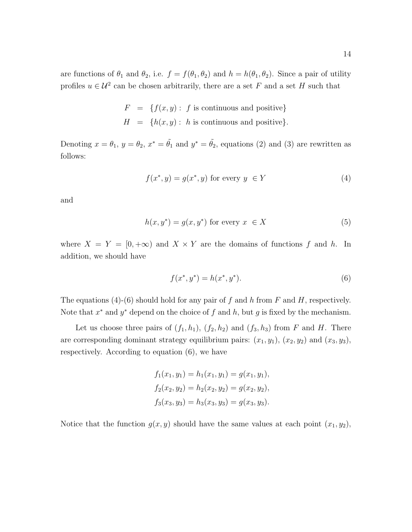are functions of  $\theta_1$  and  $\theta_2$ , i.e.  $f = f(\theta_1, \theta_2)$  and  $h = h(\theta_1, \theta_2)$ . Since a pair of utility profiles  $u \in \mathcal{U}^2$  can be chosen arbitrarily, there are a set F and a set H such that

$$
F = \{f(x, y) : f \text{ is continuous and positive}\}
$$
  

$$
H = \{h(x, y) : h \text{ is continuous and positive}\}.
$$

Denoting  $x = \theta_1$ ,  $y = \theta_2$ ,  $x^* = \tilde{\theta_1}$  and  $y^* = \tilde{\theta_2}$ , equations (2) and (3) are rewritten as follows:

$$
f(x^*, y) = g(x^*, y) \text{ for every } y \in Y
$$
 (4)

and

$$
h(x, y^*) = g(x, y^*)
$$
 for every  $x \in X$  (5)

where  $X = Y = [0, +\infty)$  and  $X \times Y$  are the domains of functions f and h. In addition, we should have

$$
f(x^*, y^*) = h(x^*, y^*). \tag{6}
$$

The equations (4)-(6) should hold for any pair of f and h from F and H, respectively. Note that  $x^*$  and  $y^*$  depend on the choice of f and h, but g is fixed by the mechanism.

Let us choose three pairs of  $(f_1, h_1)$ ,  $(f_2, h_2)$  and  $(f_3, h_3)$  from F and H. There are corresponding dominant strategy equilibrium pairs:  $(x_1, y_1)$ ,  $(x_2, y_2)$  and  $(x_3, y_3)$ , respectively. According to equation (6), we have

$$
f_1(x_1, y_1) = h_1(x_1, y_1) = g(x_1, y_1),
$$
  
\n
$$
f_2(x_2, y_2) = h_2(x_2, y_2) = g(x_2, y_2),
$$
  
\n
$$
f_3(x_3, y_3) = h_3(x_3, y_3) = g(x_3, y_3).
$$

Notice that the function  $g(x, y)$  should have the same values at each point  $(x_1, y_2)$ ,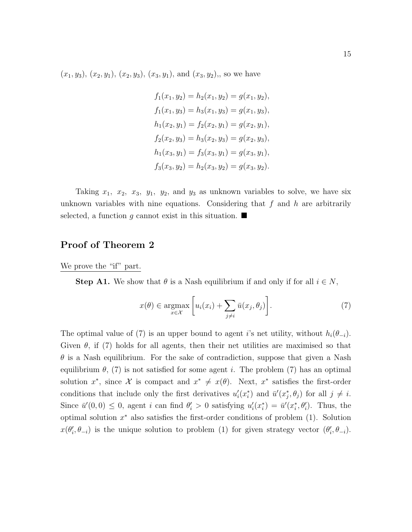$(x_1, y_3), (x_2, y_1), (x_2, y_3), (x_3, y_1),$  and  $(x_3, y_2),$  so we have

$$
f_1(x_1, y_2) = h_2(x_1, y_2) = g(x_1, y_2),
$$
  
\n
$$
f_1(x_1, y_3) = h_3(x_1, y_3) = g(x_1, y_3),
$$
  
\n
$$
h_1(x_2, y_1) = f_2(x_2, y_1) = g(x_2, y_1),
$$
  
\n
$$
f_2(x_2, y_3) = h_3(x_2, y_3) = g(x_2, y_3),
$$
  
\n
$$
h_1(x_3, y_1) = f_3(x_3, y_1) = g(x_3, y_1),
$$
  
\n
$$
f_3(x_3, y_2) = h_2(x_3, y_2) = g(x_3, y_2).
$$

Taking  $x_1$ ,  $x_2$ ,  $x_3$ ,  $y_1$ ,  $y_2$ , and  $y_3$  as unknown variables to solve, we have six unknown variables with nine equations. Considering that f and h are arbitrarily selected, a function q cannot exist in this situation.  $\blacksquare$ 

### Proof of Theorem 2

We prove the "if" part.

**Step A1.** We show that  $\theta$  is a Nash equilibrium if and only if for all  $i \in N$ ,

$$
x(\theta) \in \underset{x \in \mathcal{X}}{\operatorname{argmax}} \left[ u_i(x_i) + \sum_{j \neq i} \bar{u}(x_j, \theta_j) \right]. \tag{7}
$$

The optimal value of (7) is an upper bound to agent i's net utility, without  $h_i(\theta_{-i})$ . Given  $\theta$ , if (7) holds for all agents, then their net utilities are maximised so that  $\theta$  is a Nash equilibrium. For the sake of contradiction, suppose that given a Nash equilibrium  $\theta$ , (7) is not satisfied for some agent i. The problem (7) has an optimal solution  $x^*$ , since X is compact and  $x^* \neq x(\theta)$ . Next,  $x^*$  satisfies the first-order conditions that include only the first derivatives  $u_i'(x_i^*)$  and  $\bar{u}'(x_j^*, \theta_j)$  for all  $j \neq i$ . Since  $\bar{u}'(0,0) \leq 0$ , agent i can find  $\theta'_i > 0$  satisfying  $u'_i(x_i^*) = \bar{u}'(x_i^*, \theta'_i)$ . Thus, the optimal solution  $x^*$  also satisfies the first-order conditions of problem  $(1)$ . Solution  $x(\theta_i', \theta_{-i})$  is the unique solution to problem (1) for given strategy vector  $(\theta_i', \theta_{-i})$ .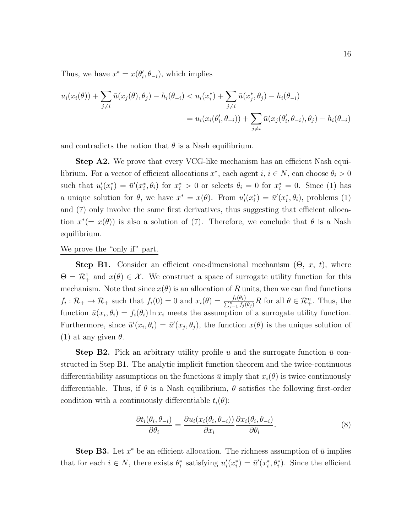Thus, we have  $x^* = x(\theta_i', \theta_{-i})$ , which implies

$$
u_i(x_i(\theta)) + \sum_{j \neq i} \bar{u}(x_j(\theta), \theta_j) - h_i(\theta_{-i}) < u_i(x_i^*) + \sum_{j \neq i} \bar{u}(x_j^*, \theta_j) - h_i(\theta_{-i})
$$
\n
$$
= u_i(x_i(\theta_i', \theta_{-i})) + \sum_{j \neq i} \bar{u}(x_j(\theta_i', \theta_{-i}), \theta_j) - h_i(\theta_{-i})
$$

and contradicts the notion that  $\theta$  is a Nash equilibrium.

Step A2. We prove that every VCG-like mechanism has an efficient Nash equilibrium. For a vector of efficient allocations  $x^*$ , each agent  $i, i \in N$ , can choose  $\theta_i > 0$ such that  $u'_i(x_i^*) = \bar{u}'(x_i^*, \theta_i)$  for  $x_i^* > 0$  or selects  $\theta_i = 0$  for  $x_i^* = 0$ . Since (1) has a unique solution for  $\theta$ , we have  $x^* = x(\theta)$ . From  $u'_i(x_i^*) = \bar{u}'(x_i^*, \theta_i)$ , problems (1) and (7) only involve the same first derivatives, thus suggesting that efficient allocation  $x^*(=x(\theta))$  is also a solution of (7). Therefore, we conclude that  $\theta$  is a Nash equilibrium.

#### We prove the "only if" part.

**Step B1.** Consider an efficient one-dimensional mechanism  $(\Theta, x, t)$ , where  $\Theta = \mathcal{R}_+^1$  and  $x(\theta) \in \mathcal{X}$ . We construct a space of surrogate utility function for this mechanism. Note that since  $x(\theta)$  is an allocation of R units, then we can find functions  $f_i: \mathcal{R}_+ \to \mathcal{R}_+$  such that  $f_i(0) = 0$  and  $x_i(\theta) = \frac{f_i(\theta_i)}{\sum_{j=1}^n f_j(\theta_j)} R$  for all  $\theta \in \mathcal{R}_+^n$ . Thus, the function  $\bar{u}(x_i, \theta_i) = f_i(\theta_i) \ln x_i$  meets the assumption of a surrogate utility function. Furthermore, since  $\bar{u}'(x_i, \theta_i) = \bar{u}'(x_j, \theta_j)$ , the function  $x(\theta)$  is the unique solution of (1) at any given  $\theta$ .

**Step B2.** Pick an arbitrary utility profile u and the surrogate function  $\bar{u}$  constructed in Step B1. The analytic implicit function theorem and the twice-continuous differentiability assumptions on the functions  $\bar{u}$  imply that  $x_i(\theta)$  is twice continuously differentiable. Thus, if  $\theta$  is a Nash equilibrium,  $\theta$  satisfies the following first-order condition with a continuously differentiable  $t_i(\theta)$ :

$$
\frac{\partial t_i(\theta_i, \theta_{-i})}{\partial \theta_i} = \frac{\partial u_i(x_i(\theta_i, \theta_{-i}))}{\partial x_i} \frac{\partial x_i(\theta_i, \theta_{-i})}{\partial \theta_i}.
$$
\n(8)

**Step B3.** Let  $x^*$  be an efficient allocation. The richness assumption of  $\bar{u}$  implies that for each  $i \in N$ , there exists  $\theta_i^*$  satisfying  $u_i'(x_i^*) = \bar{u}'(x_i^*, \theta_i^*)$ . Since the efficient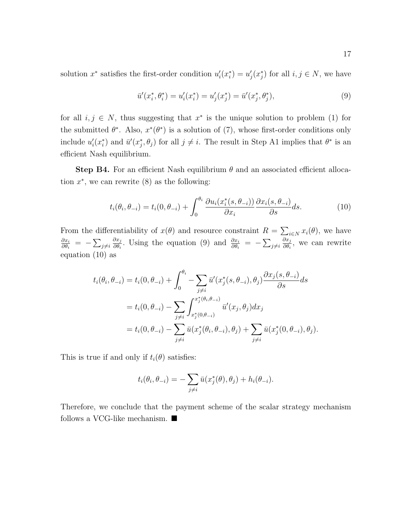solution  $x^*$  satisfies the first-order condition  $u'_i(x_i^*) = u'_j(x_j^*)$  for all  $i, j \in N$ , we have

$$
\bar{u}'(x_i^*, \theta_i^*) = u_i'(x_i^*) = u_j'(x_j^*) = \bar{u}'(x_j^*, \theta_j^*),\tag{9}
$$

for all  $i, j \in N$ , thus suggesting that  $x^*$  is the unique solution to problem (1) for the submitted  $\theta^*$ . Also,  $x^*(\theta^*)$  is a solution of (7), whose first-order conditions only include  $u'_i(x_i^*)$  and  $\bar{u}'(x_j^*, \theta_j)$  for all  $j \neq i$ . The result in Step A1 implies that  $\theta^*$  is an efficient Nash equilibrium.

Step B4. For an efficient Nash equilibrium  $\theta$  and an associated efficient allocation  $x^*$ , we can rewrite  $(8)$  as the following:

$$
t_i(\theta_i, \theta_{-i}) = t_i(0, \theta_{-i}) + \int_0^{\theta_i} \frac{\partial u_i(x_i^*(s, \theta_{-i}))}{\partial x_i} \frac{\partial x_i(s, \theta_{-i})}{\partial s} ds.
$$
 (10)

From the differentiability of  $x(\theta)$  and resource constraint  $R = \sum_{i \in N} x_i(\theta)$ , we have  $\partial x_i$  $\frac{\partial x_i}{\partial \theta_i} \ = \ - \sum_{j \neq i}$  $\partial x_j$  $\frac{\partial x_j}{\partial \theta_i}$ . Using the equation (9) and  $\frac{\partial x_i}{\partial \theta_i} = -\sum_{j\neq i}$  $\partial x_j$  $\frac{\partial x_j}{\partial \theta_i}$ , we can rewrite equation (10) as

$$
t_i(\theta_i, \theta_{-i}) = t_i(0, \theta_{-i}) + \int_0^{\theta_i} - \sum_{j \neq i} \bar{u}'(x_j^*(s, \theta_{-i}), \theta_j) \frac{\partial x_j(s, \theta_{-i})}{\partial s} ds
$$
  
=  $t_i(0, \theta_{-i}) - \sum_{j \neq i} \int_{x_j^*(0, \theta_{-i})}^{x_j^*(\theta_i, \theta_{-i})} \bar{u}'(x_j, \theta_j) dx_j$   
=  $t_i(0, \theta_{-i}) - \sum_{j \neq i} \bar{u}(x_j^*(\theta_i, \theta_{-i}), \theta_j) + \sum_{j \neq i} \bar{u}(x_j^*(0, \theta_{-i}), \theta_j).$ 

This is true if and only if  $t_i(\theta)$  satisfies:

$$
t_i(\theta_i, \theta_{-i}) = -\sum_{j \neq i} \bar{u}(x_j^*(\theta), \theta_j) + h_i(\theta_{-i}).
$$

Therefore, we conclude that the payment scheme of the scalar strategy mechanism follows a VCG-like mechanism.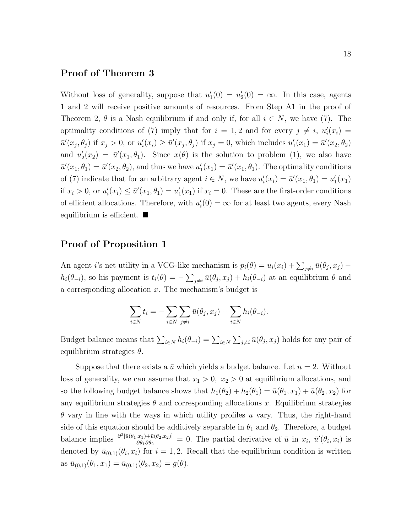#### Proof of Theorem 3

Without loss of generality, suppose that  $u'_1(0) = u'_2(0) = \infty$ . In this case, agents 1 and 2 will receive positive amounts of resources. From Step A1 in the proof of Theorem 2,  $\theta$  is a Nash equilibrium if and only if, for all  $i \in N$ , we have (7). The optimality conditions of (7) imply that for  $i = 1, 2$  and for every  $j \neq i$ ,  $u'_i(x_i) =$  $\bar{u}'(x_j, \theta_j)$  if  $x_j > 0$ , or  $u'_i(x_i) \ge \bar{u}'(x_j, \theta_j)$  if  $x_j = 0$ , which includes  $u'_1(x_1) = \bar{u}'(x_2, \theta_2)$ and  $u_2'(x_2) = \bar{u}'(x_1, \theta_1)$ . Since  $x(\theta)$  is the solution to problem (1), we also have  $\bar{u}'(x_1,\theta_1)=\bar{u}'(x_2,\theta_2)$ , and thus we have  $u'_1(x_1)=\bar{u}'(x_1,\theta_1)$ . The optimality conditions of (7) indicate that for an arbitrary agent  $i \in N$ , we have  $u'_i(x_i) = \bar{u}'(x_1, \theta_1) = u'_1(x_1)$ if  $x_i > 0$ , or  $u'_i(x_i) \le \bar{u}'(x_1, \theta_1) = u'_1(x_1)$  if  $x_i = 0$ . These are the first-order conditions of efficient allocations. Therefore, with  $u_i'(0) = \infty$  for at least two agents, every Nash equilibrium is efficient.  $\blacksquare$ 

### Proof of Proposition 1

An agent *i*'s net utility in a VCG-like mechanism is  $p_i(\theta) = u_i(x_i) + \sum_{j \neq i} \bar{u}(\theta_j, x_j)$  $h_i(\theta_{-i})$ , so his payment is  $t_i(\theta) = -\sum_{j\neq i} \bar{u}(\theta_j, x_j) + h_i(\theta_{-i})$  at an equilibrium  $\theta$  and a corresponding allocation  $x$ . The mechanism's budget is

$$
\sum_{i \in N} t_i = -\sum_{i \in N} \sum_{j \neq i} \bar{u}(\theta_j, x_j) + \sum_{i \in N} h_i(\theta_{-i}).
$$

Budget balance means that  $\sum_{i\in N} h_i(\theta_{-i}) = \sum_{i\in N} \sum_{j\neq i} \bar{u}(\theta_j, x_j)$  holds for any pair of equilibrium strategies  $\theta$ .

Suppose that there exists a  $\bar{u}$  which yields a budget balance. Let  $n = 2$ . Without loss of generality, we can assume that  $x_1 > 0$ ,  $x_2 > 0$  at equilibrium allocations, and so the following budget balance shows that  $h_1(\theta_2) + h_2(\theta_1) = \bar{u}(\theta_1, x_1) + \bar{u}(\theta_2, x_2)$  for any equilibrium strategies  $\theta$  and corresponding allocations x. Equilibrium strategies  $\theta$  vary in line with the ways in which utility profiles u vary. Thus, the right-hand side of this equation should be additively separable in  $\theta_1$  and  $\theta_2$ . Therefore, a budget balance implies  $\frac{\partial^2[\bar{u}(\theta_1,x_1)+\bar{u}(\theta_2,x_2)]}{\partial \theta_1 \partial \theta_2}$  $\frac{d(x,y)+\bar{u}(\theta_2,x_2)}{\partial \theta_1 \partial \theta_2} = 0$ . The partial derivative of  $\bar{u}$  in  $x_i$ ,  $\bar{u}'(\theta_i,x_i)$  is denoted by  $\bar{u}_{(0,1)}(\theta_i, x_i)$  for  $i = 1, 2$ . Recall that the equilibrium condition is written as  $\bar{u}_{(0,1)}(\theta_1, x_1) = \bar{u}_{(0,1)}(\theta_2, x_2) = g(\theta).$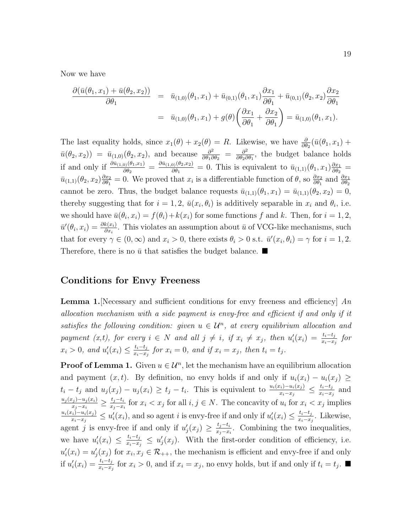Now we have

$$
\frac{\partial(\bar{u}(\theta_1, x_1) + \bar{u}(\theta_2, x_2))}{\partial \theta_1} = \bar{u}_{(1,0)}(\theta_1, x_1) + \bar{u}_{(0,1)}(\theta_1, x_1) \frac{\partial x_1}{\partial \theta_1} + \bar{u}_{(0,1)}(\theta_2, x_2) \frac{\partial x_2}{\partial \theta_1}
$$

$$
= \bar{u}_{(1,0)}(\theta_1, x_1) + g(\theta) \left(\frac{\partial x_1}{\partial \theta_1} + \frac{\partial x_2}{\partial \theta_1}\right) = \bar{u}_{(1,0)}(\theta_1, x_1).
$$

The last equality holds, since  $x_1(\theta) + x_2(\theta) = R$ . Likewise, we have  $\frac{\partial}{\partial \theta_2}(\bar{u}(\theta_1, x_1) +$  $\bar{u}(\theta_2, x_2)$  =  $\bar{u}_{(1,0)}(\theta_2, x_2)$ , and because  $\frac{\partial^2}{\partial \theta_1 \partial \theta_2}$  $\frac{\partial^2}{\partial \theta_1 \partial \theta_2}$  =  $\frac{\partial^2}{\partial \theta_2 \partial \theta_3}$  $\frac{\partial^2}{\partial \theta_2 \partial \theta_1}$ , the budget balance holds if and only if  $\frac{\partial \bar{u}_{(1,0)}(\theta_1,x_1)}{\partial \theta_2} = \frac{\partial \bar{u}_{(1,0)}(\theta_2,x_2)}{\partial \theta_1}$  $\frac{\partial \phi_1(\theta_2, x_2)}{\partial \theta_1} = 0$ . This is equivalent to  $\bar{u}_{(1,1)}(\theta_1, x_1) \frac{\partial x_1}{\partial \theta_2}$  $\frac{\partial x_1}{\partial \theta_2} =$  $\bar{u}_{(1,1)}(\theta_2, x_2)\frac{\partial x_2}{\partial \theta_1}$  $\frac{\partial x_2}{\partial \theta_1} = 0$ . We proved that  $x_i$  is a differentiable function of  $\theta$ , so  $\frac{\partial x_2}{\partial \theta_1}$  and  $\frac{\partial x_1}{\partial \theta_2}$ cannot be zero. Thus, the budget balance requests  $\bar{u}_{(1,1)}(\theta_1, x_1) = \bar{u}_{(1,1)}(\theta_2, x_2) = 0$ , thereby suggesting that for  $i = 1, 2, \bar{u}(x_i, \theta_i)$  is additively separable in  $x_i$  and  $\theta_i$ , i.e. we should have  $\bar{u}(\theta_i, x_i) = f(\theta_i) + k(x_i)$  for some functions f and k. Then, for  $i = 1, 2,$  $\bar{u}'(\theta_i, x_i) = \frac{\partial k(x_i)}{\partial x_i}$ . This violates an assumption about  $\bar{u}$  of VCG-like mechanisms, such that for every  $\gamma \in (0,\infty)$  and  $x_i > 0$ , there exists  $\theta_i > 0$  s.t.  $\bar{u}'(x_i,\theta_i) = \gamma$  for  $i = 1,2$ . Therefore, there is no  $\bar{u}$  that satisfies the budget balance.

#### Conditions for Envy Freeness

**Lemma 1.** Necessary and sufficient conditions for envy freeness and efficiency  $\mid An$ allocation mechanism with a side payment is envy-free and efficient if and only if it satisfies the following condition: given  $u \in \mathcal{U}^n$ , at every equilibrium allocation and payment (x,t), for every  $i \in N$  and all  $j \neq i$ , if  $x_i \neq x_j$ , then  $u'_i(x_i) = \frac{t_i - t_j}{x_i - x_j}$  for  $x_i > 0$ , and  $u'_i(x_i) \leq \frac{t_i - t_j}{x_i - x_i}$  $\frac{t_i-t_j}{x_i-x_j}$  for  $x_i=0$ , and if  $x_i=x_j$ , then  $t_i=t_j$ .

**Proof of Lemma 1.** Given  $u \in \mathcal{U}^n$ , let the mechanism have an equilibrium allocation and payment  $(x, t)$ . By definition, no envy holds if and only if  $u_i(x_i) - u_i(x_i) \geq$  $t_i - t_j$  and  $u_j(x_j) - u_j(x_i) \ge t_j - t_i$ . This is equivalent to  $\frac{u_i(x_i) - u_i(x_j)}{x_i - x_j} \le \frac{t_i - t_j}{x_i - x_j}$  $\frac{t_i-t_j}{x_i-x_j}$  and  $u_j(x_j)-u_j(x_i)$  $\frac{x_j)-u_j(x_i)}{x_j-x_i} \geq \frac{t_j-t_i}{x_j-x_i}$  $\frac{t_j-t_i}{x_j-x_i}$  for  $x_i < x_j$  for all  $i, j \in N$ . The concavity of  $u_i$  for  $x_i < x_j$  implies  $u_i(x_i)-u_i(x_j)$  $\frac{x_i)-u_i(x_j)}{x_i-x_j} \leq u'_i(x_i)$ , and so agent i is envy-free if and only if  $u'_i(x_i) \leq \frac{t_i-t_j}{x_i-x_j}$  $\frac{t_i-t_j}{x_i-x_j}$ . Likewise, agent j is envy-free if and only if  $u'_j(x_j) \geq \frac{t_j-t_i}{x_i-x_i}$  $\frac{t_j-t_i}{x_j-x_i}$ . Combining the two inequalities, we have  $u'_i(x_i) \leq \frac{t_i-t_j}{x_i-x_i}$  $\frac{t_i-t_j}{x_i-x_j} \leq u'_j(x_j)$ . With the first-order condition of efficiency, i.e.  $u'_i(x_i) = u'_j(x_j)$  for  $x_i, x_j \in \mathcal{R}_{++}$ , the mechanism is efficient and envy-free if and only if  $u'_i(x_i) = \frac{t_i - t_j}{x_i - x_j}$  for  $x_i > 0$ , and if  $x_i = x_j$ , no envy holds, but if and only if  $t_i = t_j$ . ■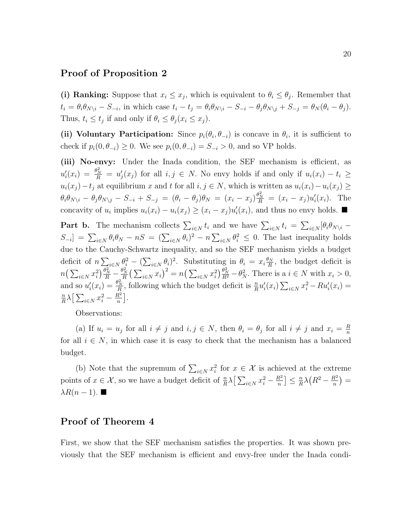#### Proof of Proposition 2

(i) Ranking: Suppose that  $x_i \leq x_j$ , which is equivalent to  $\theta_i \leq \theta_j$ . Remember that  $t_i = \theta_i \theta_{N \setminus i} - S_{-i}$ , in which case  $t_i - t_j = \theta_i \theta_{N \setminus i} - S_{-i} - \theta_j \theta_{N \setminus j} + S_{-j} = \theta_N (\theta_i - \theta_j)$ . Thus,  $t_i \leq t_j$  if and only if  $\theta_i \leq \theta_j (x_i \leq x_j)$ .

(ii) Voluntary Participation: Since  $p_i(\theta_i, \theta_{-i})$  is concave in  $\theta_i$ , it is sufficient to check if  $p_i(0, \theta_{-i}) \geq 0$ . We see  $p_i(0, \theta_{-i}) = S_{-i} > 0$ , and so VP holds.

(iii) No-envy: Under the Inada condition, the SEF mechanism is efficient, as  $u'_i(x_i) = \frac{\theta_N^2}{R} = u'_j(x_j)$  for all  $i, j \in N$ . No envy holds if and only if  $u_i(x_i) - t_i \geq$  $u_i(x_j) - t_j$  at equilibrium x and t for all  $i, j \in N$ , which is written as  $u_i(x_i) - u_i(x_j) \geq$  $\theta_i \theta_{N \setminus i} - \theta_j \theta_{N \setminus j} - S_{-i} + S_{-j} = (\theta_i - \theta_j)\theta_N = (x_i - x_j) \frac{\theta_N^2}{R} = (x_i - x_j)u'_i(x_i)$ . The concavity of  $u_i$  implies  $u_i(x_i) - u_i(x_j) \geq (x_i - x_j)u'_i(x_i)$ , and thus no envy holds.

**Part b.** The mechanism collects  $\sum_{i\in N} t_i$  and we have  $\sum_{i\in N} t_i = \sum_{i\in N} [\theta_i \theta_{N\setminus i} S_{-i}$ ] =  $\sum_{i\in N} \theta_i \theta_N - nS = (\sum_{i\in N} \theta_i)^2 - n \sum_{i\in N} \theta_i^2 \leq 0$ . The last inequality holds due to the Cauchy-Schwartz inequality, and so the SEF mechanism yields a budget deficit of  $n \sum_{i \in N} \theta_i^2 - (\sum_{i \in N} \theta_i)^2$ . Substituting in  $\theta_i = x_i \frac{\theta_N}{R}$  $\frac{dN}{R}$ , the budget deficit is  $n\left(\sum_{i\in N}x_i^2\right)\frac{\theta_N^2}{R}-\frac{\theta_N^2}{R}\left(\sum_{i\in N}x_i\right)^2=n\left(\sum_{i\in N}x_i^2\right)\frac{\theta_N^2}{R^2}-\theta_N^2$ . There is a  $i\in N$  with  $x_i>0$ , and so  $u'_i(x_i) = \frac{\theta_N^2}{R}$ , following which the budget deficit is  $\frac{n}{R}u'_i(x_i) \sum_{i \in N} x_i^2 - Ru'_i(x_i) =$ n  $\frac{n}{R}\lambda\Big[\sum_{i\in N}x_i^2-\frac{R^2}{n}\Big]$  $\frac{R^2}{n}$ .

Observations:

(a) If  $u_i = u_j$  for all  $i \neq j$  and  $i, j \in N$ , then  $\theta_i = \theta_j$  for all  $i \neq j$  and  $x_i = \frac{R}{n}$ n for all  $i \in N$ , in which case it is easy to check that the mechanism has a balanced budget.

(b) Note that the supremum of  $\sum_{i\in\mathbb{N}}x_i^2$  for  $x\in\mathcal{X}$  is achieved at the extreme points of  $x \in \mathcal{X}$ , so we have a budget deficit of  $\frac{n}{R}\lambda \left[\sum_{i \in N} x_i^2 - \frac{R^2}{n}\right]$  $\frac{R^2}{n}\Big] \leq \frac{n}{R}$  $\frac{n}{R}\lambda\left(R^2-\frac{R^2}{n}\right)$  $\frac{R^2}{n}\big)=$  $\lambda R(n-1)$ .

### Proof of Theorem 4

First, we show that the SEF mechanism satisfies the properties. It was shown previously that the SEF mechanism is efficient and envy-free under the Inada condi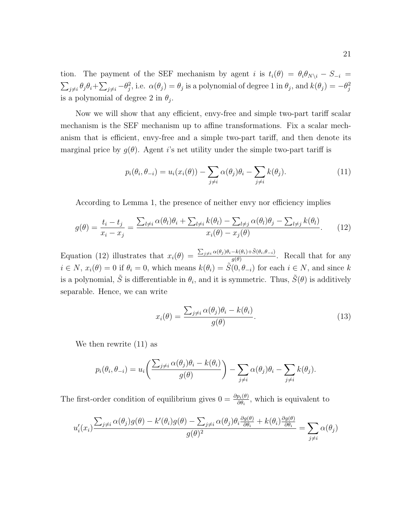tion. The payment of the SEF mechanism by agent i is  $t_i(\theta) = \theta_i \theta_{N\setminus i} - S_{-i}$  $\sum_{j\neq i}\theta_j\theta_i+\sum_{j\neq i}-\theta_j^2$ , i.e.  $\alpha(\theta_j)=\theta_j$  is a polynomial of degree 1 in  $\theta_j$ , and  $k(\theta_j)=-\theta_j^2$ is a polynomial of degree 2 in  $\theta_j$ .

Now we will show that any efficient, envy-free and simple two-part tariff scalar mechanism is the SEF mechanism up to affine transformations. Fix a scalar mechanism that is efficient, envy-free and a simple two-part tariff, and then denote its marginal price by  $g(\theta)$ . Agent is net utility under the simple two-part tariff is

$$
p_i(\theta_i, \theta_{-i}) = u_i(x_i(\theta)) - \sum_{j \neq i} \alpha(\theta_j)\theta_i - \sum_{j \neq i} k(\theta_j).
$$
 (11)

According to Lemma 1, the presence of neither envy nor efficiency implies

$$
g(\theta) = \frac{t_i - t_j}{x_i - x_j} = \frac{\sum_{l \neq i} \alpha(\theta_l)\theta_i + \sum_{l \neq i} k(\theta_l) - \sum_{l \neq j} \alpha(\theta_l)\theta_j - \sum_{l \neq j} k(\theta_l)}{x_i(\theta) - x_j(\theta)}.
$$
(12)

Equation (12) illustrates that  $x_i(\theta) = \frac{\sum_{j\neq i} \alpha(\theta_j) \theta_i - k(\theta_i) + \tilde{S}(\theta_i, \theta_{-i})}{a(\theta)}$  $\frac{\partial \mathcal{L}(v_i, y \to \mathcal{Q}(v_i, \theta - i))}{g(\theta)}$ . Recall that for any  $i \in N$ ,  $x_i(\theta) = 0$  if  $\theta_i = 0$ , which means  $k(\theta_i) = \tilde{S}(0, \theta_{-i})$  for each  $i \in N$ , and since k is a polynomial,  $\tilde{S}$  is differentiable in  $\theta_i$ , and it is symmetric. Thus,  $\tilde{S}(\theta)$  is additively separable. Hence, we can write

$$
x_i(\theta) = \frac{\sum_{j \neq i} \alpha(\theta_j)\theta_i - k(\theta_i)}{g(\theta)}.
$$
\n(13)

We then rewrite (11) as

$$
p_i(\theta_i, \theta_{-i}) = u_i\left(\frac{\sum_{j \neq i} \alpha(\theta_j)\theta_i - k(\theta_i)}{g(\theta)}\right) - \sum_{j \neq i} \alpha(\theta_j)\theta_i - \sum_{j \neq i} k(\theta_j).
$$

The first-order condition of equilibrium gives  $0 = \frac{\partial p_i(\theta)}{\partial \theta_i}$ , which is equivalent to

$$
u'_i(x_i) \frac{\sum_{j\neq i} \alpha(\theta_j) g(\theta) - k'(\theta_i) g(\theta) - \sum_{j\neq i} \alpha(\theta_j) \theta_i \frac{\partial g(\theta)}{\partial \theta_i} + k(\theta_i) \frac{\partial g(\theta)}{\partial \theta_i}}{g(\theta)^2} = \sum_{j\neq i} \alpha(\theta_j)
$$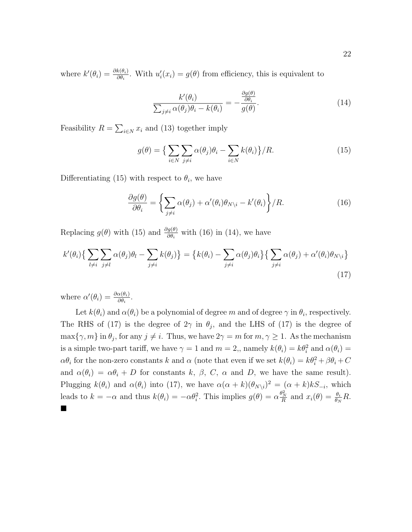where  $k'(\theta_i) = \frac{\partial k(\theta_i)}{\partial \theta_i}$ . With  $u'_i(x_i) = g(\theta)$  from efficiency, this is equivalent to

$$
\frac{k'(\theta_i)}{\sum_{j\neq i} \alpha(\theta_j)\theta_i - k(\theta_i)} = -\frac{\frac{\partial g(\theta)}{\partial \theta_i}}{g(\theta)}.
$$
\n(14)

Feasibility  $R = \sum_{i \in N} x_i$  and (13) together imply

$$
g(\theta) = \left\{ \sum_{i \in N} \sum_{j \neq i} \alpha(\theta_j) \theta_i - \sum_{i \in N} k(\theta_i) \right\} / R. \tag{15}
$$

Differentiating (15) with respect to  $\theta_i$ , we have

$$
\frac{\partial g(\theta)}{\partial \theta_i} = \left\{ \sum_{j \neq i} \alpha(\theta_j) + \alpha'(\theta_i) \theta_{N \setminus i} - k'(\theta_i) \right\} / R. \tag{16}
$$

Replacing  $g(\theta)$  with (15) and  $\frac{\partial g(\theta)}{\partial \theta_i}$  with (16) in (14), we have

$$
k'(\theta_i) \{ \sum_{l \neq i} \sum_{j \neq l} \alpha(\theta_j) \theta_l - \sum_{j \neq i} k(\theta_j) \} = \{ k(\theta_i) - \sum_{j \neq i} \alpha(\theta_j) \theta_i \} \{ \sum_{j \neq i} \alpha(\theta_j) + \alpha'(\theta_i) \theta_{N \setminus i} \}
$$
\n(17)

where  $\alpha'(\theta_i) = \frac{\partial \alpha(\theta_i)}{\partial \theta_i}$ .

Let  $k(\theta_i)$  and  $\alpha(\theta_i)$  be a polynomial of degree  $m$  and of degree  $\gamma$  in  $\theta_i$ , respectively. The RHS of (17) is the degree of  $2\gamma$  in  $\theta_j$ , and the LHS of (17) is the degree of  $\max\{\gamma, m\}$  in  $\theta_j$ , for any  $j \neq i$ . Thus, we have  $2\gamma = m$  for  $m, \gamma \geq 1$ . As the mechanism is a simple two-part tariff, we have  $\gamma = 1$  and  $m = 2$ , namely  $k(\theta_i) = k\theta_i^2$  and  $\alpha(\theta_i) =$  $\alpha \theta_i$  for the non-zero constants k and  $\alpha$  (note that even if we set  $k(\theta_i) = k\theta_i^2 + \beta \theta_i + C$ and  $\alpha(\theta_i) = \alpha \theta_i + D$  for constants k,  $\beta$ , C,  $\alpha$  and D, we have the same result). Plugging  $k(\theta_i)$  and  $\alpha(\theta_i)$  into (17), we have  $\alpha(\alpha + k)(\theta_{N\setminus i})^2 = (\alpha + k)kS_{-i}$ , which leads to  $k = -\alpha$  and thus  $k(\theta_i) = -\alpha \theta_i^2$ . This implies  $g(\theta) = \alpha \frac{\theta_N^2}{R}$  and  $x_i(\theta) = \frac{\theta_i}{\theta_N} R$ .  $\blacksquare$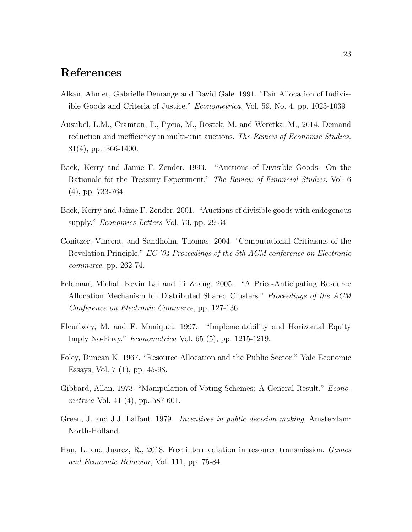### References

- Alkan, Ahmet, Gabrielle Demange and David Gale. 1991. "Fair Allocation of Indivisible Goods and Criteria of Justice." Econometrica, Vol. 59, No. 4. pp. 1023-1039
- Ausubel, L.M., Cramton, P., Pycia, M., Rostek, M. and Weretka, M., 2014. Demand reduction and inefficiency in multi-unit auctions. The Review of Economic Studies, 81(4), pp.1366-1400.
- Back, Kerry and Jaime F. Zender. 1993. "Auctions of Divisible Goods: On the Rationale for the Treasury Experiment." The Review of Financial Studies, Vol. 6 (4), pp. 733-764
- Back, Kerry and Jaime F. Zender. 2001. "Auctions of divisible goods with endogenous supply." Economics Letters Vol. 73, pp. 29-34
- Conitzer, Vincent, and Sandholm, Tuomas, 2004. "Computational Criticisms of the Revelation Principle." EC '04 Proceedings of the 5th ACM conference on Electronic commerce, pp. 262-74.
- Feldman, Michal, Kevin Lai and Li Zhang. 2005. "A Price-Anticipating Resource Allocation Mechanism for Distributed Shared Clusters." Proceedings of the ACM Conference on Electronic Commerce, pp. 127-136
- Fleurbaey, M. and F. Maniquet. 1997. "Implementability and Horizontal Equity Imply No-Envy." Econometrica Vol. 65 (5), pp. 1215-1219.
- Foley, Duncan K. 1967. "Resource Allocation and the Public Sector." Yale Economic Essays, Vol. 7 (1), pp. 45-98.
- Gibbard, Allan. 1973. "Manipulation of Voting Schemes: A General Result." Econometrica Vol. 41 (4), pp. 587-601.
- Green, J. and J.J. Laffont. 1979. *Incentives in public decision making*, Amsterdam: North-Holland.
- Han, L. and Juarez, R., 2018. Free intermediation in resource transmission. Games and Economic Behavior, Vol. 111, pp. 75-84.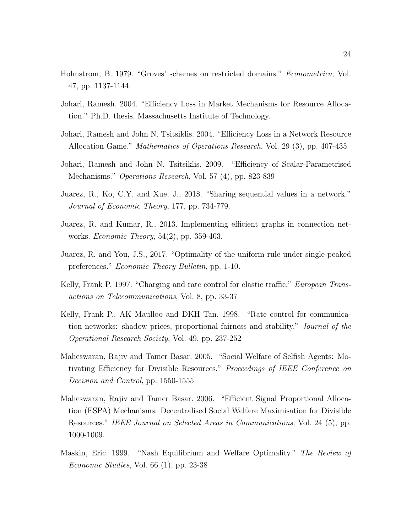- Holmstrom, B. 1979. "Groves' schemes on restricted domains." Econometrica, Vol. 47, pp. 1137-1144.
- Johari, Ramesh. 2004. "Efficiency Loss in Market Mechanisms for Resource Allocation." Ph.D. thesis, Massachusetts Institute of Technology.
- Johari, Ramesh and John N. Tsitsiklis. 2004. "Efficiency Loss in a Network Resource Allocation Game." Mathematics of Operations Research, Vol. 29 (3), pp. 407-435
- Johari, Ramesh and John N. Tsitsiklis. 2009. "Efficiency of Scalar-Parametrised Mechanisms." Operations Research, Vol. 57 (4), pp. 823-839
- Juarez, R., Ko, C.Y. and Xue, J., 2018. "Sharing sequential values in a network." Journal of Economic Theory, 177, pp. 734-779.
- Juarez, R. and Kumar, R., 2013. Implementing efficient graphs in connection networks. Economic Theory, 54(2), pp. 359-403.
- Juarez, R. and You, J.S., 2017. "Optimality of the uniform rule under single-peaked preferences." Economic Theory Bulletin, pp. 1-10.
- Kelly, Frank P. 1997. "Charging and rate control for elastic traffic." *European Trans*actions on Telecommunications, Vol. 8, pp. 33-37
- Kelly, Frank P., AK Maulloo and DKH Tan. 1998. "Rate control for communication networks: shadow prices, proportional fairness and stability." Journal of the Operational Research Society, Vol. 49, pp. 237-252
- Maheswaran, Rajiv and Tamer Basar. 2005. "Social Welfare of Selfish Agents: Motivating Efficiency for Divisible Resources." Proceedings of IEEE Conference on Decision and Control, pp. 1550-1555
- Maheswaran, Rajiv and Tamer Basar. 2006. "Efficient Signal Proportional Allocation (ESPA) Mechanisms: Decentralised Social Welfare Maximisation for Divisible Resources." IEEE Journal on Selected Areas in Communications, Vol. 24 (5), pp. 1000-1009.
- Maskin, Eric. 1999. "Nash Equilibrium and Welfare Optimality." The Review of Economic Studies, Vol. 66 (1), pp. 23-38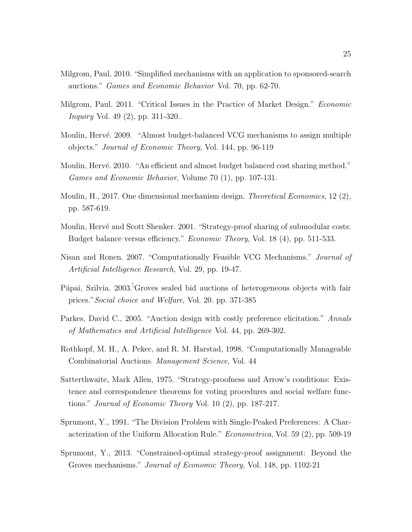- Milgrom, Paul, 2010. "Simplified mechanisms with an application to sponsored-search auctions." Games and Economic Behavior Vol. 70, pp. 62-70.
- Milgrom, Paul, 2011. "Critical Issues in the Practice of Market Design." *Economic Inquiry* Vol. 49 (2), pp. 311-320..
- Moulin, Hervé. 2009. "Almost budget-balanced VCG mechanisms to assign multiple objects." Journal of Economic Theory, Vol. 144, pp. 96-119
- Moulin, Hervé. 2010. "An efficient and almost budget balanced cost sharing method." Games and Economic Behavior, Volume 70 (1), pp. 107-131.
- Moulin, H., 2017. One dimensional mechanism design. *Theoretical Economics*, 12 (2), pp. 587-619.
- Moulin, Hervé and Scott Shenker. 2001. "Strategy-proof sharing of submodular costs: Budget balance versus efficiency." Economic Theory, Vol. 18 (4), pp. 511-533.
- Nisan and Ronen. 2007. "Computationally Feasible VCG Mechanisms." Journal of Artificial Intelligence Research, Vol. 29, pp. 19-47.
- Pápai, Szilvia. 2003.<sup>†</sup>Groves sealed bid auctions of heterogeneous objects with fair prices."Social choice and Welfare, Vol. 20. pp. 371-385
- Parkes, David C., 2005. "Auction design with costly preference elicitation." Annals of Mathematics and Artificial Intelligence Vol. 44, pp. 269-302.
- Rothkopf, M. H., A. Pekec, and R. M. Harstad, 1998. "Computationally Manageable Combinatorial Auctions. Management Science, Vol. 44
- Satterthwaite, Mark Allen, 1975. "Strategy-proofness and Arrow's conditions: Existence and correspondence theorems for voting procedures and social welfare functions." Journal of Economic Theory Vol. 10 (2), pp. 187-217.
- Sprumont, Y., 1991. "The Division Problem with Single-Peaked Preferences: A Characterization of the Uniform Allocation Rule." Econometrica, Vol. 59 (2), pp. 509-19
- Sprumont, Y., 2013. "Constrained-optimal strategy-proof assignment: Beyond the Groves mechanisms." Journal of Economic Theory, Vol. 148, pp. 1102-21